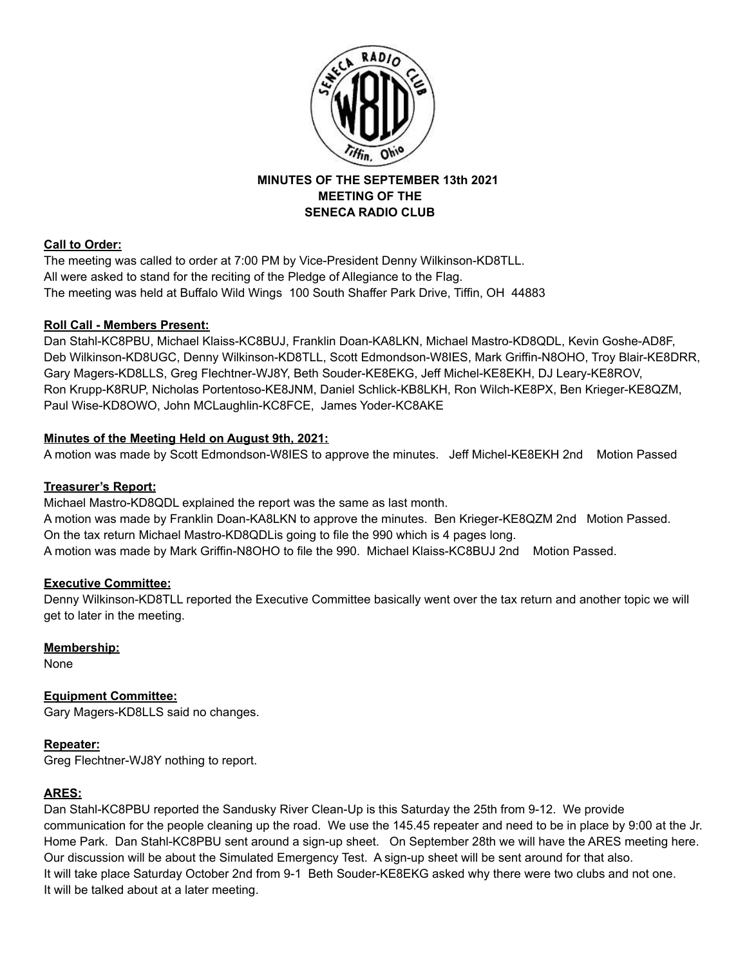

## **MINUTES OF THE SEPTEMBER 13th 2021 MEETING OF THE SENECA RADIO CLUB**

# **Call to Order:**

The meeting was called to order at 7:00 PM by Vice-President Denny Wilkinson-KD8TLL. All were asked to stand for the reciting of the Pledge of Allegiance to the Flag. The meeting was held at Buffalo Wild Wings 100 South Shaffer Park Drive, Tiffin, OH 44883

# **Roll Call - Members Present:**

Dan Stahl-KC8PBU, Michael Klaiss-KC8BUJ, Franklin Doan-KA8LKN, Michael Mastro-KD8QDL, Kevin Goshe-AD8F, Deb Wilkinson-KD8UGC, Denny Wilkinson-KD8TLL, Scott Edmondson-W8IES, Mark Griffin-N8OHO, Troy Blair-KE8DRR, Gary Magers-KD8LLS, Greg Flechtner-WJ8Y, Beth Souder-KE8EKG, Jeff Michel-KE8EKH, DJ Leary-KE8ROV, Ron Krupp-K8RUP, Nicholas Portentoso-KE8JNM, Daniel Schlick-KB8LKH, Ron Wilch-KE8PX, Ben Krieger-KE8QZM, Paul Wise-KD8OWO, John MCLaughlin-KC8FCE, James Yoder-KC8AKE

## **Minutes of the Meeting Held on August 9th, 2021:**

A motion was made by Scott Edmondson-W8IES to approve the minutes. Jeff Michel-KE8EKH 2nd Motion Passed

## **Treasurer's Report:**

Michael Mastro-KD8QDL explained the report was the same as last month.

A motion was made by Franklin Doan-KA8LKN to approve the minutes. Ben Krieger-KE8QZM 2nd Motion Passed. On the tax return Michael Mastro-KD8QDLis going to file the 990 which is 4 pages long. A motion was made by Mark Griffin-N8OHO to file the 990. Michael Klaiss-KC8BUJ 2nd Motion Passed.

# **Executive Committee:**

Denny Wilkinson-KD8TLL reported the Executive Committee basically went over the tax return and another topic we will get to later in the meeting.

# **Membership:**

None

# **Equipment Committee:**

Gary Magers-KD8LLS said no changes.

## **Repeater:**

Greg Flechtner-WJ8Y nothing to report.

## **ARES:**

Dan Stahl-KC8PBU reported the Sandusky River Clean-Up is this Saturday the 25th from 9-12. We provide communication for the people cleaning up the road. We use the 145.45 repeater and need to be in place by 9:00 at the Jr. Home Park. Dan Stahl-KC8PBU sent around a sign-up sheet. On September 28th we will have the ARES meeting here. Our discussion will be about the Simulated Emergency Test. A sign-up sheet will be sent around for that also. It will take place Saturday October 2nd from 9-1 Beth Souder-KE8EKG asked why there were two clubs and not one. It will be talked about at a later meeting.